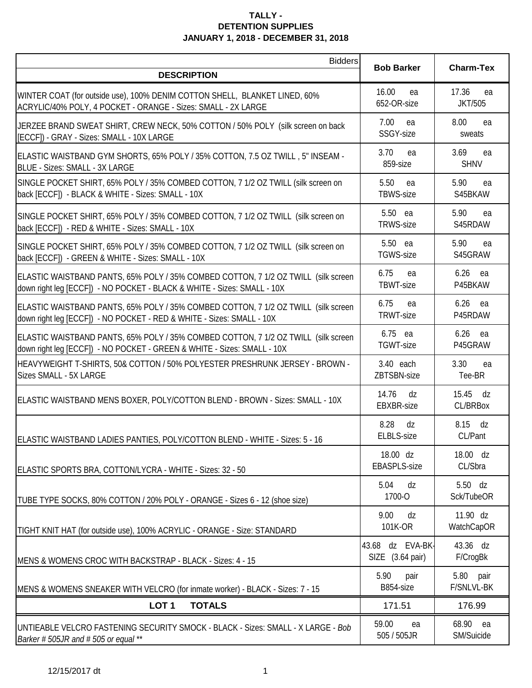| <b>Bidders</b>                                                                                                                                                | <b>Bob Barker</b>                    | <b>Charm-Tex</b>              |
|---------------------------------------------------------------------------------------------------------------------------------------------------------------|--------------------------------------|-------------------------------|
| <b>DESCRIPTION</b>                                                                                                                                            |                                      |                               |
| WINTER COAT (for outside use), 100% DENIM COTTON SHELL, BLANKET LINED, 60%<br>ACRYLIC/40% POLY, 4 POCKET - ORANGE - Sizes: SMALL - 2X LARGE                   | 16.00<br>ea<br>652-OR-size           | 17.36<br>ea<br><b>JKT/505</b> |
| JERZEE BRAND SWEAT SHIRT, CREW NECK, 50% COTTON / 50% POLY (silk screen on back<br>[ECCF]) - GRAY - Sizes: SMALL - 10X LARGE                                  | 7.00<br>ea<br>SSGY-size              | 8.00<br>ea<br>sweats          |
| ELASTIC WAISTBAND GYM SHORTS, 65% POLY / 35% COTTON, 7.5 OZ TWILL, 5" INSEAM -<br>BLUE - Sizes: SMALL - 3X LARGE                                              | 3.70<br>ea<br>859-size               | 3.69<br>ea<br><b>SHNV</b>     |
| SINGLE POCKET SHIRT, 65% POLY / 35% COMBED COTTON, 7 1/2 OZ TWILL (silk screen on<br>back [ECCF]) - BLACK & WHITE - Sizes: SMALL - 10X                        | 5.50<br>ea<br>TBWS-size              | 5.90<br>ea<br>S45BKAW         |
| SINGLE POCKET SHIRT, 65% POLY / 35% COMBED COTTON, 7 1/2 OZ TWILL (silk screen on<br>back [ECCF]) - RED & WHITE - Sizes: SMALL - 10X                          | 5.50 ea<br><b>TRWS-size</b>          | 5.90<br>ea<br>S45RDAW         |
| SINGLE POCKET SHIRT, 65% POLY / 35% COMBED COTTON, 7 1/2 OZ TWILL (silk screen on<br>back [ECCF]) - GREEN & WHITE - Sizes: SMALL - 10X                        | 5.50 ea<br>TGWS-size                 | 5.90<br>ea<br>S45GRAW         |
| ELASTIC WAISTBAND PANTS, 65% POLY / 35% COMBED COTTON, 7 1/2 OZ TWILL (silk screen<br>down right leg [ECCF]) - NO POCKET - BLACK & WHITE - Sizes: SMALL - 10X | 6.75<br>ea<br>TBWT-size              | 6.26<br>ea<br>P45BKAW         |
| ELASTIC WAISTBAND PANTS, 65% POLY / 35% COMBED COTTON, 7 1/2 OZ TWILL (silk screen<br>down right leg [ECCF]) - NO POCKET - RED & WHITE - Sizes: SMALL - 10X   | 6.75<br>ea<br>TRWT-size              | 6.26<br>ea<br>P45RDAW         |
| ELASTIC WAISTBAND PANTS, 65% POLY / 35% COMBED COTTON, 7 1/2 OZ TWILL (silk screen<br>down right leg [ECCF]) - NO POCKET - GREEN & WHITE - Sizes: SMALL - 10X | 6.75 ea<br>TGWT-size                 | $6.26$ ea<br>P45GRAW          |
| HEAVYWEIGHT T-SHIRTS, 50& COTTON / 50% POLYESTER PRESHRUNK JERSEY - BROWN -<br>Sizes SMALL - 5X LARGE                                                         | 3.40 each<br>ZBTSBN-size             | 3.30<br>ea<br>Tee-BR          |
| ELASTIC WAISTBAND MENS BOXER, POLY/COTTON BLEND - BROWN - Sizes: SMALL - 10X                                                                                  | 14.76<br>dz<br>EBXBR-size            | 15.45<br>dz<br>CL/BRBox       |
| ELASTIC WAISTBAND LADIES PANTIES, POLY/COTTON BLEND - WHITE - Sizes: 5 - 16                                                                                   | 8.28<br>dz<br>ELBLS-size             | 8.15 dz<br>CL/Pant            |
| ELASTIC SPORTS BRA, COTTON/LYCRA - WHITE - Sizes: 32 - 50                                                                                                     | 18.00 dz<br><b>EBASPLS-size</b>      | 18.00 dz<br>CL/Sbra           |
| TUBE TYPE SOCKS, 80% COTTON / 20% POLY - ORANGE - Sizes 6 - 12 (shoe size)                                                                                    | 5.04<br>dz<br>1700-O                 | 5.50 dz<br>Sck/TubeOR         |
| TIGHT KNIT HAT (for outside use), 100% ACRYLIC - ORANGE - Size: STANDARD                                                                                      | 9.00<br>dz<br>101K-OR                | 11.90 dz<br>WatchCapOR        |
| MENS & WOMENS CROC WITH BACKSTRAP - BLACK - Sizes: 4 - 15                                                                                                     | 43.68 dz EVA-BK-<br>SIZE (3.64 pair) | 43.36 dz<br>F/CrogBk          |
| MENS & WOMENS SNEAKER WITH VELCRO (for inmate worker) - BLACK - Sizes: 7 - 15                                                                                 | 5.90<br>pair<br>B854-size            | 5.80<br>pair<br>F/SNLVL-BK    |
| LOT <sub>1</sub><br><b>TOTALS</b>                                                                                                                             | 171.51                               | 176.99                        |
| UNTIEABLE VELCRO FASTENING SECURITY SMOCK - BLACK - Sizes: SMALL - X LARGE - Bob<br>Barker # 505JR and # 505 or equal **                                      | 59.00<br>ea<br>505 / 505JR           | 68.90<br>ea<br>SM/Suicide     |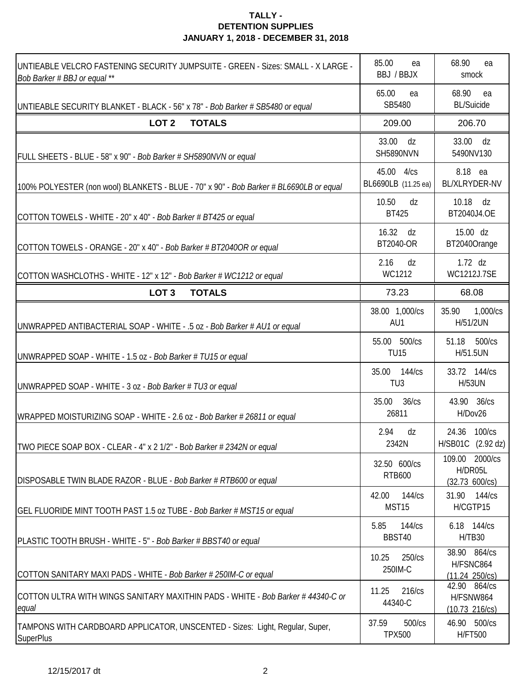| UNTIEABLE VELCRO FASTENING SECURITY JUMPSUITE - GREEN - Sizes: SMALL - X LARGE -<br>Bob Barker # BBJ or equal ** | 85.00<br>ea<br>BBJ / BBJX            | 68.90<br>ea<br>smock                                   |
|------------------------------------------------------------------------------------------------------------------|--------------------------------------|--------------------------------------------------------|
| UNTIEABLE SECURITY BLANKET - BLACK - 56" x 78" - Bob Barker # SB5480 or equal                                    | 65.00<br>ea<br>SB5480                | 68.90<br>ea<br><b>BL/Suicide</b>                       |
| LOT <sub>2</sub><br><b>TOTALS</b>                                                                                | 209.00                               | 206.70                                                 |
| FULL SHEETS - BLUE - 58" x 90" - Bob Barker # SH5890NVN or equal                                                 | 33.00<br>dz<br><b>SH5890NVN</b>      | 33.00<br>dz<br>5490NV130                               |
| 100% POLYESTER (non wool) BLANKETS - BLUE - 70" x 90" - Bob Barker # BL6690LB or equal                           | 45.00<br>4/cs<br>BL6690LB (11.25 ea) | 8.18 ea<br>BL/XLRYDER-NV                               |
| COTTON TOWELS - WHITE - 20" x 40" - Bob Barker # BT425 or equal                                                  | 10.50<br>dz<br><b>BT425</b>          | 10.18<br>dz<br>BT2040J4.OE                             |
| COTTON TOWELS - ORANGE - 20" x 40" - Bob Barker # BT2040OR or equal                                              | 16.32<br>dz<br>BT2040-OR             | 15.00 dz<br>BT2040Orange                               |
| COTTON WASHCLOTHS - WHITE - 12" x 12" - Bob Barker # WC1212 or equal                                             | 2.16<br>dz<br>WC1212                 | $1.72$ dz<br>WC1212J.7SE                               |
| LOT <sub>3</sub><br><b>TOTALS</b>                                                                                | 73.23                                | 68.08                                                  |
| UNWRAPPED ANTIBACTERIAL SOAP - WHITE - .5 oz - Bob Barker # AU1 or equal                                         | 38.00 1,000/cs<br>AU1                | 1,000/cs<br>35.90<br>H/51/2UN                          |
| UNWRAPPED SOAP - WHITE - 1.5 oz - Bob Barker # TU15 or equal                                                     | 55.00 500/cs<br><b>TU15</b>          | 500/cs<br>51.18<br>H/51.5UN                            |
| UNWRAPPED SOAP - WHITE - 3 oz - Bob Barker # TU3 or equal                                                        | 35.00 144/cs<br>TU <sub>3</sub>      | 33.72 144/cs<br><b>H/53UN</b>                          |
| WRAPPED MOISTURIZING SOAP - WHITE - 2.6 oz - Bob Barker # 26811 or equal                                         | 35.00<br>36/cs<br>26811              | 43.90 36/cs<br>H/Dov26                                 |
| TWO PIECE SOAP BOX - CLEAR - 4" x 2 1/2" - Bob Barker # 2342N or equal                                           | 2.94<br>dz<br>2342N                  | 24.36 100/cs<br>H/SB01C (2.92 dz)                      |
| DISPOSABLE TWIN BLADE RAZOR - BLUE - Bob Barker # RTB600 or equal                                                | 32.50 600/cs<br><b>RTB600</b>        | 109.00 2000/cs<br>H/DR05L<br>(32.73 600/cs)            |
| GEL FLUORIDE MINT TOOTH PAST 1.5 oz TUBE - Bob Barker # MST15 or equal                                           | 144/cs<br>42.00<br>MST15             | 31.90 144/cs<br>H/CGTP15                               |
| PLASTIC TOOTH BRUSH - WHITE - 5" - Bob Barker # BBST40 or equal                                                  | 144/cs<br>5.85<br>BBST40             | 6.18 144/cs<br><b>H/TB30</b>                           |
| COTTON SANITARY MAXI PADS - WHITE - Bob Barker # 250IM-C or equal                                                | 10.25<br>250/cs<br>250IM-C           | 38.90 864/cs<br>H/FSNC864<br>(11.24 250/cs)            |
| COTTON ULTRA WITH WINGS SANITARY MAXITHIN PADS - WHITE - Bob Barker # 44340-C or<br>equal                        | 11.25<br>216/cs<br>44340-C           | 42.90 864/cs<br>H/FSNW864<br>$(10.73 \t216/\text{cs})$ |
| TAMPONS WITH CARDBOARD APPLICATOR, UNSCENTED - Sizes: Light, Regular, Super,<br><b>SuperPlus</b>                 | 500/cs<br>37.59<br><b>TPX500</b>     | 46.90 500/cs<br><b>H/FT500</b>                         |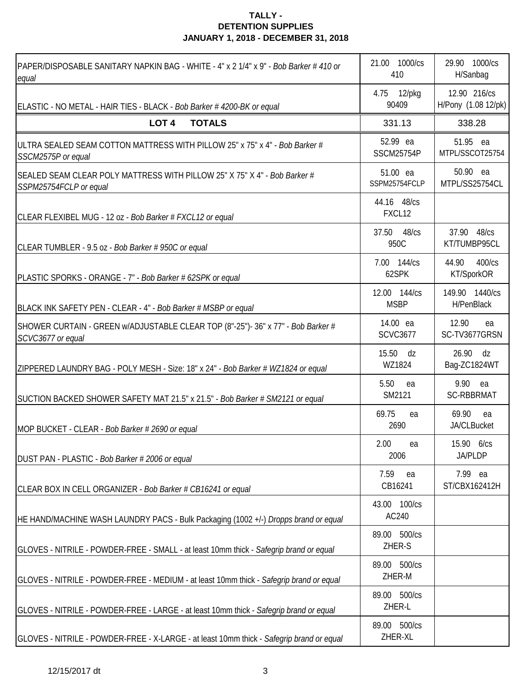| PAPER/DISPOSABLE SANITARY NAPKIN BAG - WHITE - 4" x 2 1/4" x 9" - Bob Barker # 410 or<br>equal        | 21.00 1000/cs<br>410          | 29.90 1000/cs<br>H/Sanbag           |
|-------------------------------------------------------------------------------------------------------|-------------------------------|-------------------------------------|
| ELASTIC - NO METAL - HAIR TIES - BLACK - Bob Barker #4200-BK or equal                                 | 4.75 12/pkg<br>90409          | 12.90 216/cs<br>H/Pony (1.08 12/pk) |
| LOT <sub>4</sub><br><b>TOTALS</b>                                                                     | 331.13                        | 338.28                              |
| ULTRA SEALED SEAM COTTON MATTRESS WITH PILLOW 25" x 75" x 4" - Bob Barker #<br>SSCM2575P or equal     | 52.99 ea<br><b>SSCM25754P</b> | 51.95 ea<br>MTPL/SSCOT25754         |
| SEALED SEAM CLEAR POLY MATTRESS WITH PILLOW 25" X 75" X 4" - Bob Barker #<br>SSPM25754FCLP or equal   | 51.00 ea<br>SSPM25754FCLP     | 50.90 ea<br>MTPL/SS25754CL          |
| CLEAR FLEXIBEL MUG - 12 oz - Bob Barker # FXCL12 or equal                                             | 44.16 48/cs<br>FXCL12         |                                     |
| CLEAR TUMBLER - 9.5 oz - Bob Barker # 950C or equal                                                   | 37.50<br>$48$ / $cs$<br>950C  | 37.90 48/cs<br>KT/TUMBP95CL         |
| PLASTIC SPORKS - ORANGE - 7" - Bob Barker # 62SPK or equal                                            | 7.00 144/cs<br>62SPK          | 400/cs<br>44.90<br>KT/SporkOR       |
| BLACK INK SAFETY PEN - CLEAR - 4" - Bob Barker # MSBP or equal                                        | 12.00 144/cs<br><b>MSBP</b>   | 149.90 1440/cs<br>H/PenBlack        |
| SHOWER CURTAIN - GREEN w/ADJUSTABLE CLEAR TOP (8"-25")- 36" x 77" - Bob Barker #<br>SCVC3677 or equal | 14.00 ea<br><b>SCVC3677</b>   | 12.90<br>ea<br>SC-TV3677GRSN        |
| ZIPPERED LAUNDRY BAG - POLY MESH - Size: 18" x 24" - Bob Barker # WZ1824 or equal                     | 15.50 dz<br>WZ1824            | 26.90<br>dz<br>Bag-ZC1824WT         |
| SUCTION BACKED SHOWER SAFETY MAT 21.5" x 21.5" - Bob Barker # SM2121 or equal                         | 5.50<br>ea<br>SM2121          | 9.90 ea<br><b>SC-RBBRMAT</b>        |
| MOP BUCKET - CLEAR - Bob Barker # 2690 or equal                                                       | 69.75<br>ea<br>2690           | 69.90<br>ea<br>JA/CLBucket          |
| DUST PAN - PLASTIC - Bob Barker # 2006 or equal                                                       | 2.00 ea<br>2006               | 15.90 6/cs<br><b>JA/PLDP</b>        |
| CLEAR BOX IN CELL ORGANIZER - Bob Barker # CB16241 or equal                                           | 7.59<br>ea<br>CB16241         | 7.99 ea<br>ST/CBX162412H            |
| HE HAND/MACHINE WASH LAUNDRY PACS - Bulk Packaging (1002 +/-) Dropps brand or equal                   | 43.00 100/cs<br>AC240         |                                     |
| GLOVES - NITRILE - POWDER-FREE - SMALL - at least 10mm thick - Safegrip brand or equal                | 89.00 500/cs<br>ZHER-S        |                                     |
| GLOVES - NITRILE - POWDER-FREE - MEDIUM - at least 10mm thick - Safegrip brand or equal               | 89.00 500/cs<br>ZHER-M        |                                     |
| GLOVES - NITRILE - POWDER-FREE - LARGE - at least 10mm thick - Safegrip brand or equal                | 89.00 500/cs<br>ZHER-L        |                                     |
| GLOVES - NITRILE - POWDER-FREE - X-LARGE - at least 10mm thick - Safegrip brand or equal              | 89.00 500/cs<br>ZHER-XL       |                                     |